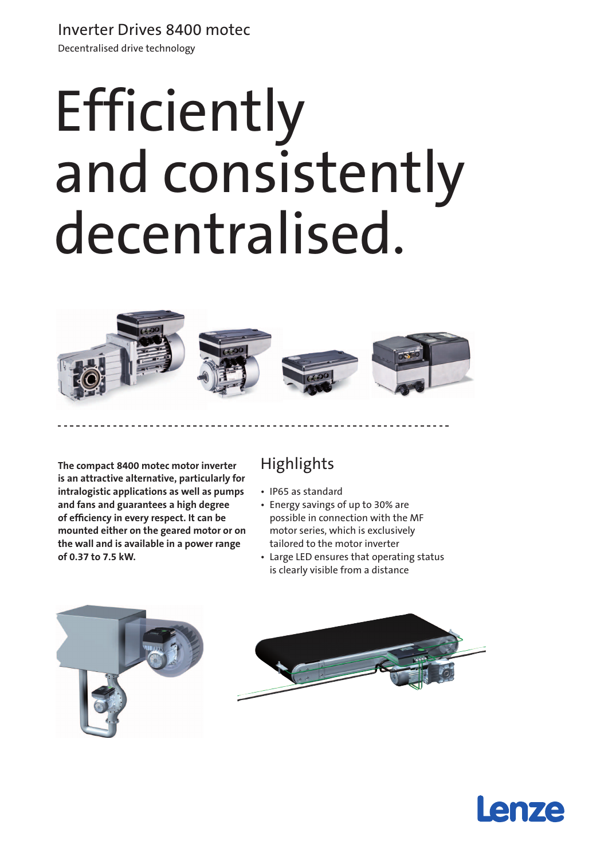## Inverter Drives 8400 motec

Decentralised drive technology

# Efficiently and consistently decentralised.



**The compact 8400 motec motor inverter is an attractive alternative, particularly for intralogistic applications as well as pumps and fans and guarantees a high degree of efficiency in every respect. It can be mounted either on the geared motor or on the wall and is available in a power range of 0.37 to 7.5 kW.** 

## **Highlights**

- • IP65 as standard
- • Energy savings of up to 30% are possible in connection with the MF motor series, which is exclusively tailored to the motor inverter
- Large LED ensures that operating status is clearly visible from a distance